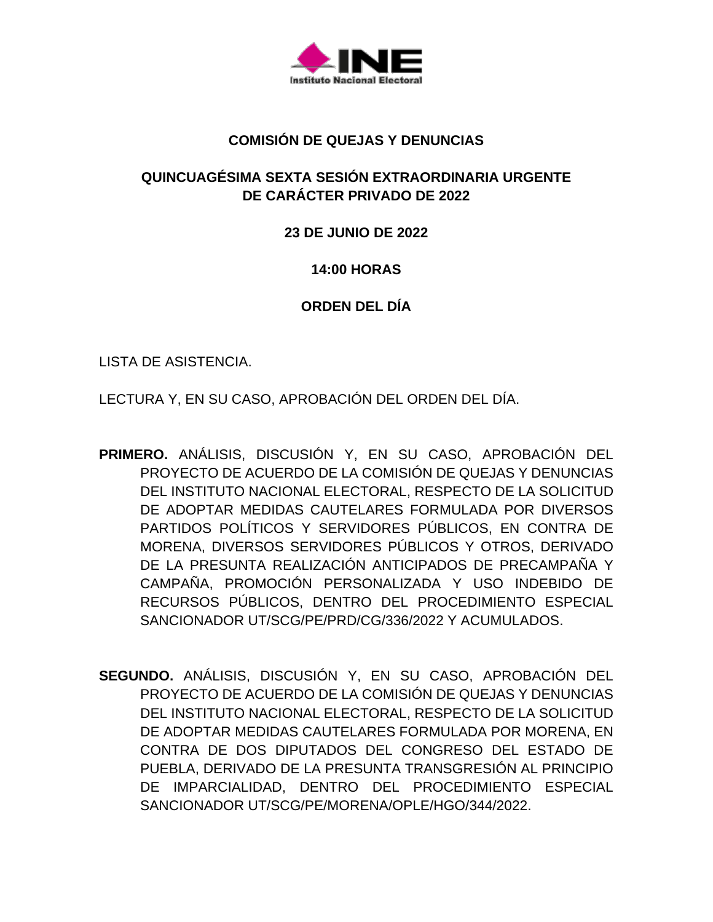

## **COMISIÓN DE QUEJAS Y DENUNCIAS**

# **QUINCUAGÉSIMA SEXTA SESIÓN EXTRAORDINARIA URGENTE DE CARÁCTER PRIVADO DE 2022**

### **23 DE JUNIO DE 2022**

### **14:00 HORAS**

### **ORDEN DEL DÍA**

LISTA DE ASISTENCIA.

LECTURA Y, EN SU CASO, APROBACIÓN DEL ORDEN DEL DÍA.

- **PRIMERO.** ANÁLISIS, DISCUSIÓN Y, EN SU CASO, APROBACIÓN DEL PROYECTO DE ACUERDO DE LA COMISIÓN DE QUEJAS Y DENUNCIAS DEL INSTITUTO NACIONAL ELECTORAL, RESPECTO DE LA SOLICITUD DE ADOPTAR MEDIDAS CAUTELARES FORMULADA POR DIVERSOS PARTIDOS POLÍTICOS Y SERVIDORES PÚBLICOS, EN CONTRA DE MORENA, DIVERSOS SERVIDORES PÚBLICOS Y OTROS, DERIVADO DE LA PRESUNTA REALIZACIÓN ANTICIPADOS DE PRECAMPAÑA Y CAMPAÑA, PROMOCIÓN PERSONALIZADA Y USO INDEBIDO DE RECURSOS PÚBLICOS, DENTRO DEL PROCEDIMIENTO ESPECIAL SANCIONADOR UT/SCG/PE/PRD/CG/336/2022 Y ACUMULADOS.
- **SEGUNDO.** ANÁLISIS, DISCUSIÓN Y, EN SU CASO, APROBACIÓN DEL PROYECTO DE ACUERDO DE LA COMISIÓN DE QUEJAS Y DENUNCIAS DEL INSTITUTO NACIONAL ELECTORAL, RESPECTO DE LA SOLICITUD DE ADOPTAR MEDIDAS CAUTELARES FORMULADA POR MORENA, EN CONTRA DE DOS DIPUTADOS DEL CONGRESO DEL ESTADO DE PUEBLA, DERIVADO DE LA PRESUNTA TRANSGRESIÓN AL PRINCIPIO DE IMPARCIALIDAD, DENTRO DEL PROCEDIMIENTO ESPECIAL SANCIONADOR UT/SCG/PE/MORENA/OPLE/HGO/344/2022.